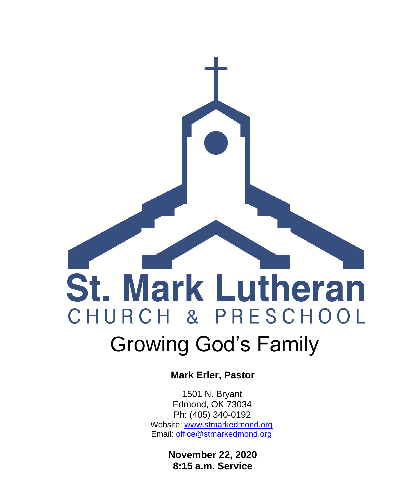

 **Mark Erler, Pastor**

 1501 N. Bryant Edmond, OK 73034 Ph: (405) 340-0192 Website: [www.stmarkedmond.org](http://www.stmarkedmond.org/) Email: [office@stmarkedmond.org](mailto:office@stmarkedmond.org)

> **November 22, 2020 8:15 a.m. Service**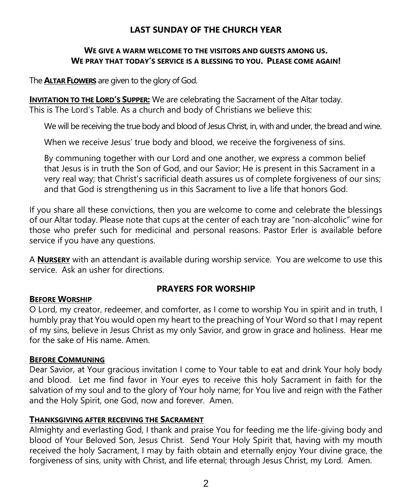## **LAST SUNDAY OF THE CHURCH YEAR**

## **WE GIVE A WARM WELCOME TO THE VISITORS AND GUESTS AMONG US. WE PRAY THAT TODAY'S SERVICE IS A BLESSING TO YOU. PLEASE COME AGAIN!**

The **ALTAR FLOWERS** are given to the glory of God.

**INVITATION TO THE LORD'S SUPPER:** We are celebrating the Sacrament of the Altar today. This is The Lord's Table. As a church and body of Christians we believe this:

We will be receiving the true body and blood of Jesus Christ, in, with and under, the bread and wine.

When we receive Jesus' true body and blood, we receive the forgiveness of sins.

By communing together with our Lord and one another, we express a common belief that Jesus is in truth the Son of God, and our Savior; He is present in this Sacrament in a very real way; that Christ's sacrificial death assures us of complete forgiveness of our sins; and that God is strengthening us in this Sacrament to live a life that honors God.

If you share all these convictions, then you are welcome to come and celebrate the blessings of our Altar today. Please note that cups at the center of each tray are "non-alcoholic" wine for those who prefer such for medicinal and personal reasons. Pastor Erler is available before service if you have any questions.

A **NURSERY** with an attendant is available during worship service. You are welcome to use this service. Ask an usher for directions.

## **PRAYERS FOR WORSHIP**

## **BEFORE WORSHIP**

O Lord, my creator, redeemer, and comforter, as I come to worship You in spirit and in truth, I humbly pray that You would open my heart to the preaching of Your Word so that I may repent of my sins, believe in Jesus Christ as my only Savior, and grow in grace and holiness. Hear me for the sake of His name. Amen.

## **BEFORE COMMUNING**

Dear Savior, at Your gracious invitation I come to Your table to eat and drink Your holy body and blood. Let me find favor in Your eyes to receive this holy Sacrament in faith for the salvation of my soul and to the glory of Your holy name; for You live and reign with the Father and the Holy Spirit, one God, now and forever. Amen.

### **THANKSGIVING AFTER RECEIVING THE SACRAMENT**

Almighty and everlasting God, I thank and praise You for feeding me the life-giving body and blood of Your Beloved Son, Jesus Christ. Send Your Holy Spirit that, having with my mouth received the holy Sacrament, I may by faith obtain and eternally enjoy Your divine grace, the forgiveness of sins, unity with Christ, and life eternal; through Jesus Christ, my Lord. Amen.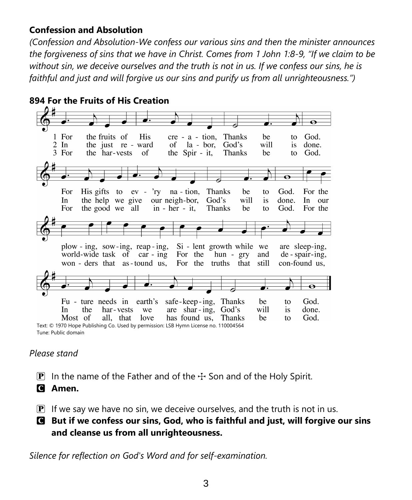# **Confession and Absolution**

*(Confession and Absolution-We confess our various sins and then the minister announces the forgiveness of sins that we have in Christ. Comes from 1 John 1:8-9, "If we claim to be without sin, we deceive ourselves and the truth is not in us. If we confess our sins, he is faithful and just and will forgive us our sins and purify us from all unrighteousness.")*



## *Please stand*

- **P** In the name of the Father and of the  $\pm$  Son and of the Holy Spirit.
- C **Amen.**

 $\overline{P}$  If we say we have no sin, we deceive ourselves, and the truth is not in us.

C **But if we confess our sins, God, who is faithful and just, will forgive our sins and cleanse us from all unrighteousness.**

*Silence for reflection on God's Word and for self-examination.*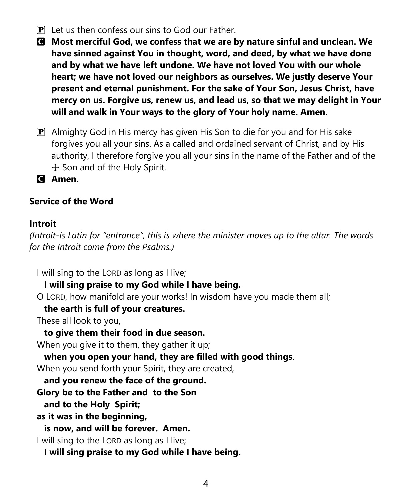- $\mathbf{P}$  Let us then confess our sins to God our Father.
- C **Most merciful God, we confess that we are by nature sinful and unclean. We have sinned against You in thought, word, and deed, by what we have done and by what we have left undone. We have not loved You with our whole heart; we have not loved our neighbors as ourselves. We justly deserve Your present and eternal punishment. For the sake of Your Son, Jesus Christ, have mercy on us. Forgive us, renew us, and lead us, so that we may delight in Your will and walk in Your ways to the glory of Your holy name. Amen.**
- **P** Almighty God in His mercy has given His Son to die for you and for His sake forgives you all your sins. As a called and ordained servant of Christ, and by His authority, I therefore forgive you all your sins in the name of the Father and of the  $+$  Son and of the Holy Spirit.

C **Amen.**

# **Service of the Word**

# **Introit**

*(Introit-is Latin for "entrance", this is where the minister moves up to the altar. The words for the Introit come from the Psalms.)*

I will sing to the LORD as long as I live;

# **I will sing praise to my God while I have being.**

O LORD, how manifold are your works! In wisdom have you made them all;

# **the earth is full of your creatures.**

These all look to you,

# **to give them their food in due season.**

When you give it to them, they gather it up;

**when you open your hand, they are filled with good things**.

When you send forth your Spirit, they are created,

**and you renew the face of the ground.**

**Glory be to the Father and to the Son**

**and to the Holy Spirit;**

**as it was in the beginning,**

**is now, and will be forever. Amen.**

I will sing to the LORD as long as I live;

**I will sing praise to my God while I have being.**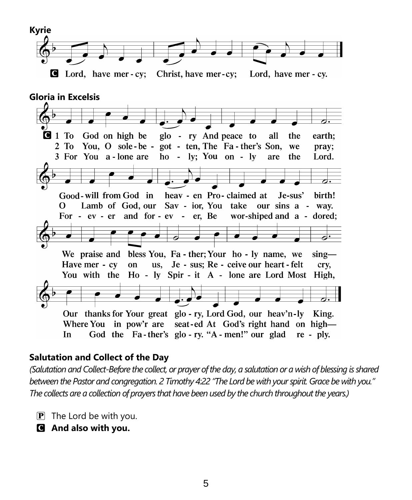

# **Salutation and Collect of the Day**

*(Salutation and Collect-Before the collect, or prayer of the day, a salutation or a wish of blessing is shared between the Pastor and congregation. 2 Timothy 4:22 "The Lord be with your spirit. Grace be with you." The collects are a collection of prayers that have been used by the church throughout the years.)*

- $\mathbf{P}$  The Lord be with you.
- C **And also with you.**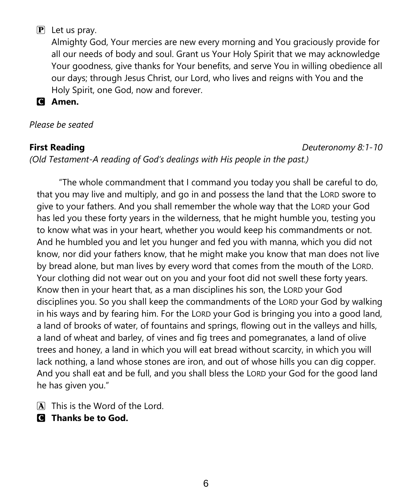# $\mathbf{P}$  Let us pray.

Almighty God, Your mercies are new every morning and You graciously provide for all our needs of body and soul. Grant us Your Holy Spirit that we may acknowledge Your goodness, give thanks for Your benefits, and serve You in willing obedience all our days; through Jesus Christ, our Lord, who lives and reigns with You and the Holy Spirit, one God, now and forever.

C **Amen.**

*Please be seated*

**First Reading** *Deuteronomy 8:1-10*

*(Old Testament-A reading of God's dealings with His people in the past.)*

"The whole commandment that I command you today you shall be careful to do, that you may live and multiply, and go in and possess the land that the LORD swore to give to your fathers. And you shall remember the whole way that the LORD your God has led you these forty years in the wilderness, that he might humble you, testing you to know what was in your heart, whether you would keep his commandments or not. And he humbled you and let you hunger and fed you with manna, which you did not know, nor did your fathers know, that he might make you know that man does not live by bread alone, but man lives by every word that comes from the mouth of the LORD. Your clothing did not wear out on you and your foot did not swell these forty years. Know then in your heart that, as a man disciplines his son, the LORD your God disciplines you. So you shall keep the commandments of the LORD your God by walking in his ways and by fearing him. For the LORD your God is bringing you into a good land, a land of brooks of water, of fountains and springs, flowing out in the valleys and hills, a land of wheat and barley, of vines and fig trees and pomegranates, a land of olive trees and honey, a land in which you will eat bread without scarcity, in which you will lack nothing, a land whose stones are iron, and out of whose hills you can dig copper. And you shall eat and be full, and you shall bless the LORD your God for the good land he has given you."

A This is the Word of the Lord.

C **Thanks be to God.**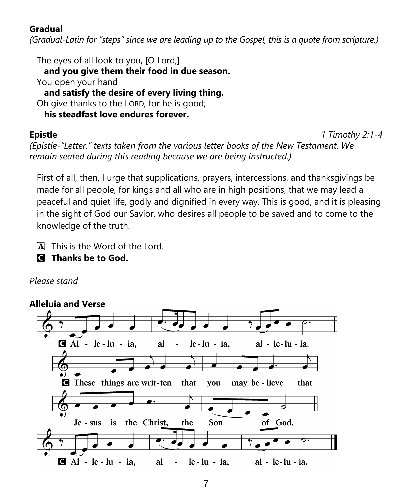# **Gradual**

*(Gradual-Latin for "steps" since we are leading up to the Gospel, this is a quote from scripture.)*

The eyes of all look to you, [O Lord,] **and you give them their food in due season.** You open your hand **and satisfy the desire of every living thing.** Oh give thanks to the LORD, for he is good; **his steadfast love endures forever.**

**Epistle** *1 Timothy 2:1-4*

*(Epistle-"Letter," texts taken from the various letter books of the New Testament. We remain seated during this reading because we are being instructed.)*

First of all, then, I urge that supplications, prayers, intercessions, and thanksgivings be made for all people, for kings and all who are in high positions, that we may lead a peaceful and quiet life, godly and dignified in every way. This is good, and it is pleasing in the sight of God our Savior, who desires all people to be saved and to come to the knowledge of the truth.

- A This is the Word of the Lord.
- C **Thanks be to God.**

# *Please stand*

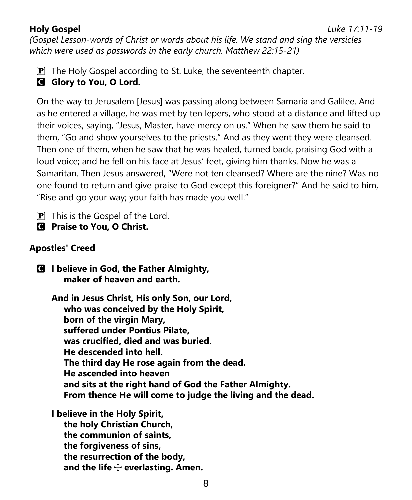*(Gospel Lesson-words of Christ or words about his life. We stand and sing the versicles which were used as passwords in the early church. Matthew 22:15-21)*

 $\mathbf{P}$  The Holy Gospel according to St. Luke, the seventeenth chapter.

# **G** Glory to You, O Lord.

On the way to Jerusalem [Jesus] was passing along between Samaria and Galilee. And as he entered a village, he was met by ten lepers, who stood at a distance and lifted up their voices, saying, "Jesus, Master, have mercy on us." When he saw them he said to them, "Go and show yourselves to the priests." And as they went they were cleansed. Then one of them, when he saw that he was healed, turned back, praising God with a loud voice; and he fell on his face at Jesus' feet, giving him thanks. Now he was a Samaritan. Then Jesus answered, "Were not ten cleansed? Where are the nine? Was no one found to return and give praise to God except this foreigner?" And he said to him, "Rise and go your way; your faith has made you well."

 $\mathbf{P}$  This is the Gospel of the Lord.

C **Praise to You, O Christ.**

# **Apostles' Creed**

C **I believe in God, the Father Almighty, maker of heaven and earth.**

**And in Jesus Christ, His only Son, our Lord, who was conceived by the Holy Spirit, born of the virgin Mary, suffered under Pontius Pilate, was crucified, died and was buried. He descended into hell. The third day He rose again from the dead. He ascended into heaven and sits at the right hand of God the Father Almighty. From thence He will come to judge the living and the dead.**

**I believe in the Holy Spirit, the holy Christian Church, the communion of saints, the forgiveness of sins, the resurrection of the body,** and the life  $\div$  everlasting. Amen.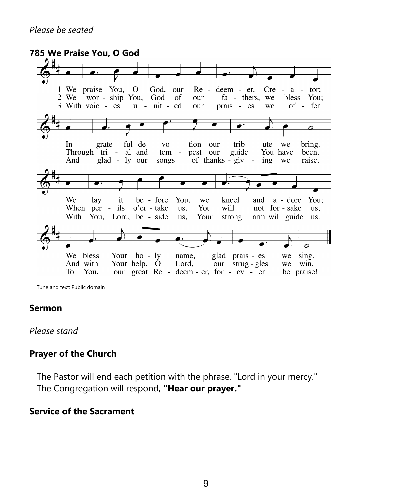## **785 We Praise You, O God**



Tune and text: Public domain

### **Sermon**

*Please stand*

## **Prayer of the Church**

The Pastor will end each petition with the phrase, "Lord in your mercy." The Congregation will respond, **"Hear our prayer."**

## **Service of the Sacrament**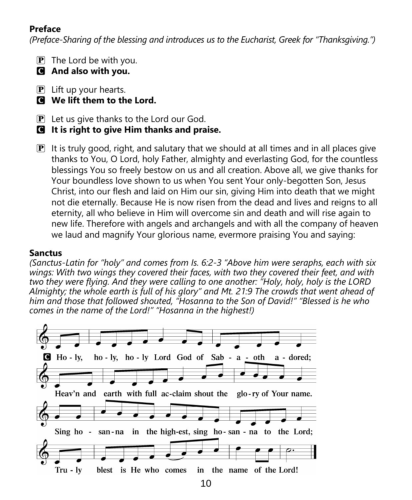# **Preface**

*(Preface-Sharing of the blessing and introduces us to the Eucharist, Greek for "Thanksgiving.")*

- $\mathbf{P}$  The Lord be with you.
- C **And also with you.**
- $\mathbf{P}$  Lift up your hearts.
- C **We lift them to the Lord.**
- $\mathbf{P}$  Let us give thanks to the Lord our God.
- C **It is right to give Him thanks and praise.**
- $\mathbf{P}$  It is truly good, right, and salutary that we should at all times and in all places give thanks to You, O Lord, holy Father, almighty and everlasting God, for the countless blessings You so freely bestow on us and all creation. Above all, we give thanks for Your boundless love shown to us when You sent Your only-begotten Son, Jesus Christ, into our flesh and laid on Him our sin, giving Him into death that we might not die eternally. Because He is now risen from the dead and lives and reigns to all eternity, all who believe in Him will overcome sin and death and will rise again to new life. Therefore with angels and archangels and with all the company of heaven we laud and magnify Your glorious name, evermore praising You and saying:

# **Sanctus**

*(Sanctus-Latin for "holy" and comes from Is. 6:2-3 "Above him were seraphs, each with six wings: With two wings they covered their faces, with two they covered their feet, and with two they were flying. And they were calling to one another: "Holy, holy, holy is the LORD Almighty; the whole earth is full of his glory" and Mt. 21:9 The crowds that went ahead of him and those that followed shouted, "Hosanna to the Son of David!" "Blessed is he who comes in the name of the Lord!" "Hosanna in the highest!)*

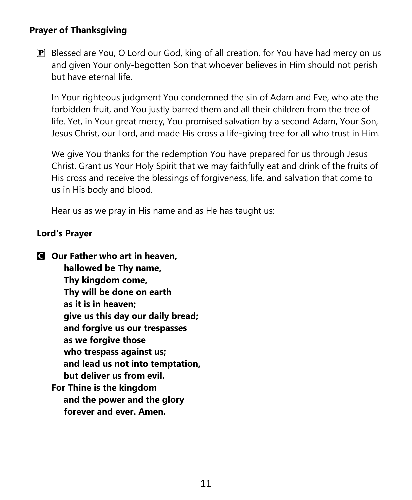# **Prayer of Thanksgiving**

 $\mathbb{P}$  Blessed are You, O Lord our God, king of all creation, for You have had mercy on us and given Your only-begotten Son that whoever believes in Him should not perish but have eternal life.

In Your righteous judgment You condemned the sin of Adam and Eve, who ate the forbidden fruit, and You justly barred them and all their children from the tree of life. Yet, in Your great mercy, You promised salvation by a second Adam, Your Son, Jesus Christ, our Lord, and made His cross a life-giving tree for all who trust in Him.

We give You thanks for the redemption You have prepared for us through Jesus Christ. Grant us Your Holy Spirit that we may faithfully eat and drink of the fruits of His cross and receive the blessings of forgiveness, life, and salvation that come to us in His body and blood.

Hear us as we pray in His name and as He has taught us:

## **Lord's Prayer**

C **Our Father who art in heaven, hallowed be Thy name, Thy kingdom come, Thy will be done on earth as it is in heaven; give us this day our daily bread; and forgive us our trespasses as we forgive those who trespass against us; and lead us not into temptation, but deliver us from evil. For Thine is the kingdom and the power and the glory forever and ever. Amen.**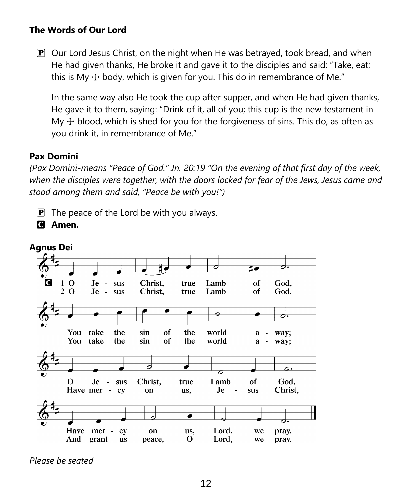# **The Words of Our Lord**

 $\mathbf{P}$  Our Lord Jesus Christ, on the night when He was betrayed, took bread, and when He had given thanks, He broke it and gave it to the disciples and said: "Take, eat; this is My  $\pm$  body, which is given for you. This do in remembrance of Me."

In the same way also He took the cup after supper, and when He had given thanks, He gave it to them, saying: "Drink of it, all of you; this cup is the new testament in My  $\pm$  blood, which is shed for you for the forgiveness of sins. This do, as often as you drink it, in remembrance of Me."

## **Pax Domini**

*(Pax Domini-means "Peace of God." Jn. 20:19 "On the evening of that first day of the week, when the disciples were together, with the doors locked for fear of the Jews, Jesus came and stood among them and said, "Peace be with you!")*

 $\mathbf{P}$  The peace of the Lord be with you always.





*Please be seated*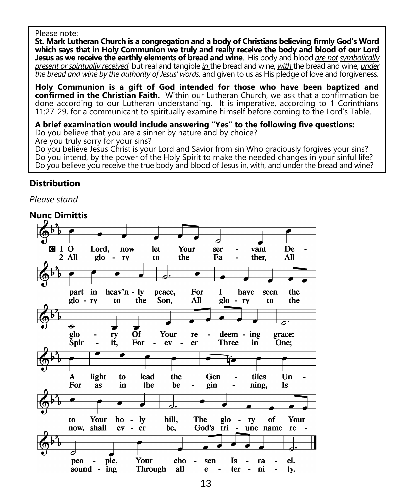#### Please note:

**St. Mark Lutheran Church is a congregation and a body of Christians believing firmly God's Word which says that in Holy Communion we truly and really receive the body and blood of our Lord Jesus as we receive the earthly elements of bread and wine**. His body and blood *are not symbolically present or spiritually received*, but real and tangible *in* the bread and wine, *with* the bread and wine, *under the bread and wine by the authority of Jesus' words,* and given to us as His pledge of love and forgiveness.

**Holy Communion is a gift of God intended for those who have been baptized and confirmed in the Christian Faith.** Within our Lutheran Church, we ask that a confirmation be done according to our Lutheran understanding. It is imperative, according to 1 Corinthians 11:27-29, for a communicant to spiritually examine himself before coming to the Lord's Table.

#### **A brief examination would include answering "Yes" to the following five questions:**

Do you believe that you are a sinner by nature and by choice?

Are you truly sorry for your sins?

Do you believe Jesus Christ is your Lord and Savior from sin Who graciously forgives your sins? Do you intend, by the power of the Holy Spirit to make the needed changes in your sinful life? Do you believe you receive the true body and blood of Jesus in, with, and under the bread and wine?

## **Distribution**

*Please stand*

### **Nunc Dimittis**

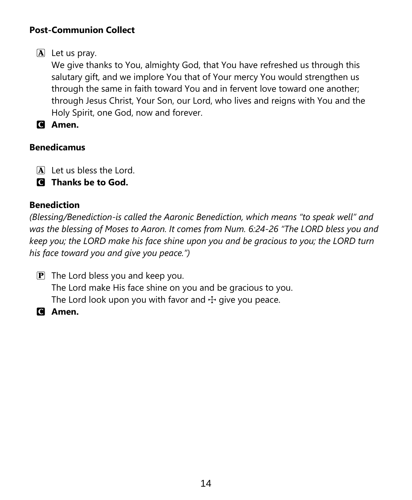# **Post-Communion Collect**

 $\mathbf{A}$  Let us pray.

We give thanks to You, almighty God, that You have refreshed us through this salutary gift, and we implore You that of Your mercy You would strengthen us through the same in faith toward You and in fervent love toward one another; through Jesus Christ, Your Son, our Lord, who lives and reigns with You and the Holy Spirit, one God, now and forever.

C **Amen.**

# **Benedicamus**

- A Let us bless the Lord.
- C **Thanks be to God.**

# **Benediction**

*(Blessing/Benediction-is called the Aaronic Benediction, which means "to speak well" and was the blessing of Moses to Aaron. It comes from Num. 6:24-26 "The LORD bless you and keep you; the LORD make his face shine upon you and be gracious to you; the LORD turn his face toward you and give you peace.")*

- $\mathbf{P}$  The Lord bless you and keep you. The Lord make His face shine on you and be gracious to you. The Lord look upon you with favor and  $\pm$  give you peace.
- C **Amen.**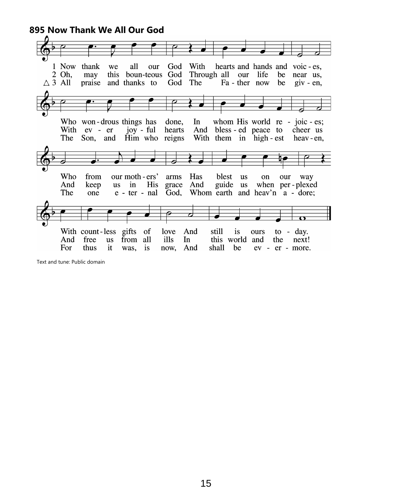**895 Now Thank We All Our God**



Text and tune: Public domain